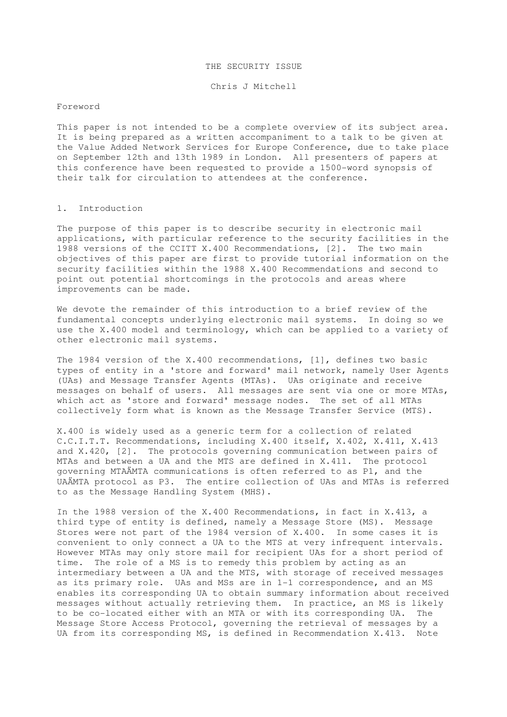#### THE SECURITY ISSUE

Chris J Mitchell

### Foreword

This paper is not intended to be a complete overview of its subject area. It is being prepared as a written accompaniment to a talk to be given at the Value Added Network Services for Europe Conference, due to take place on September 12th and 13th 1989 in London. All presenters of papers at this conference have been requested to provide a 1500-word synopsis of their talk for circulation to attendees at the conference.

### 1. Introduction

The purpose of this paper is to describe security in electronic mail applications, with particular reference to the security facilities in the 1988 versions of the CCITT X.400 Recommendations, [2]. The two main objectives of this paper are first to provide tutorial information on the security facilities within the 1988 X.400 Recommendations and second to point out potential shortcomings in the protocols and areas where improvements can be made.

We devote the remainder of this introduction to a brief review of the fundamental concepts underlying electronic mail systems. In doing so we use the X.400 model and terminology, which can be applied to a variety of other electronic mail systems.

The 1984 version of the X.400 recommendations, [1], defines two basic types of entity in a 'store and forward' mail network, namely User Agents (UAs) and Message Transfer Agents (MTAs). UAs originate and receive messages on behalf of users. All messages are sent via one or more MTAs, which act as 'store and forward' message nodes. The set of all MTAs collectively form what is known as the Message Transfer Service (MTS).

X.400 is widely used as a generic term for a collection of related C.C.I.T.T. Recommendations, including X.400 itself, X.402, X.411, X.413 and X.420, [2]. The protocols governing communication between pairs of MTAs and between a UA and the MTS are defined in X.411. The protocol governing MTAÄMTA communications is often referred to as P1, and the UAÄMTA protocol as P3. The entire collection of UAs and MTAs is referred to as the Message Handling System (MHS).

In the 1988 version of the X.400 Recommendations, in fact in X.413, a third type of entity is defined, namely a Message Store (MS). Message Stores were not part of the 1984 version of X.400. In some cases it is convenient to only connect a UA to the MTS at very infrequent intervals. However MTAs may only store mail for recipient UAs for a short period of time. The role of a MS is to remedy this problem by acting as an intermediary between a UA and the MTS, with storage of received messages as its primary role. UAs and MSs are in 1-1 correspondence, and an MS enables its corresponding UA to obtain summary information about received messages without actually retrieving them. In practice, an MS is likely to be co-located either with an MTA or with its corresponding UA. The Message Store Access Protocol, governing the retrieval of messages by a UA from its corresponding MS, is defined in Recommendation X.413. Note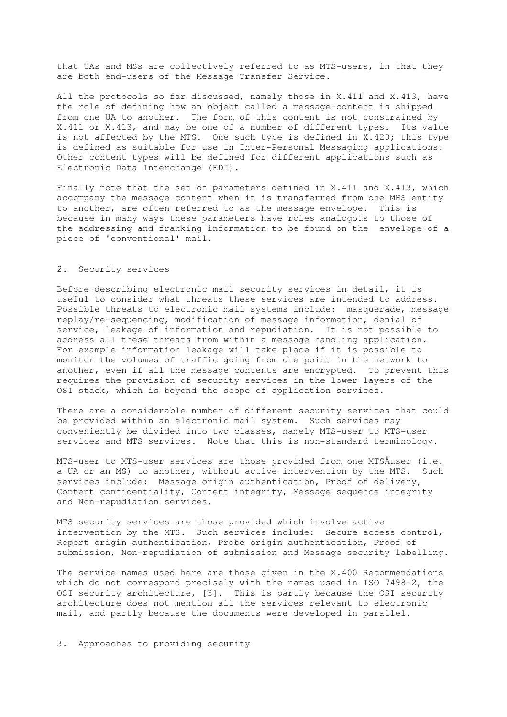that UAs and MSs are collectively referred to as MTS-users, in that they are both end-users of the Message Transfer Service.

All the protocols so far discussed, namely those in X.411 and X.413, have the role of defining how an object called a message-content is shipped from one UA to another. The form of this content is not constrained by X.411 or X.413, and may be one of a number of different types. Its value is not affected by the MTS. One such type is defined in X.420; this type is defined as suitable for use in Inter-Personal Messaging applications. Other content types will be defined for different applications such as Electronic Data Interchange (EDI).

Finally note that the set of parameters defined in X.411 and X.413, which accompany the message content when it is transferred from one MHS entity to another, are often referred to as the message envelope. This is because in many ways these parameters have roles analogous to those of the addressing and franking information to be found on the envelope of a piece of 'conventional' mail.

# 2. Security services

Before describing electronic mail security services in detail, it is useful to consider what threats these services are intended to address. Possible threats to electronic mail systems include: masquerade, message replay/re-sequencing, modification of message information, denial of service, leakage of information and repudiation. It is not possible to address all these threats from within a message handling application. For example information leakage will take place if it is possible to monitor the volumes of traffic going from one point in the network to another, even if all the message contents are encrypted. To prevent this requires the provision of security services in the lower layers of the OSI stack, which is beyond the scope of application services.

There are a considerable number of different security services that could be provided within an electronic mail system. Such services may conveniently be divided into two classes, namely MTS-user to MTS-user services and MTS services. Note that this is non-standard terminology.

MTS-user to MTS-user services are those provided from one MTSÄuser (i.e. a UA or an MS) to another, without active intervention by the MTS. Such services include: Message origin authentication, Proof of delivery, Content confidentiality, Content integrity, Message sequence integrity and Non-repudiation services.

MTS security services are those provided which involve active intervention by the MTS. Such services include: Secure access control, Report origin authentication, Probe origin authentication, Proof of submission, Non-repudiation of submission and Message security labelling.

The service names used here are those given in the X.400 Recommendations which do not correspond precisely with the names used in ISO 7498-2, the OSI security architecture, [3]. This is partly because the OSI security architecture does not mention all the services relevant to electronic mail, and partly because the documents were developed in parallel.

3. Approaches to providing security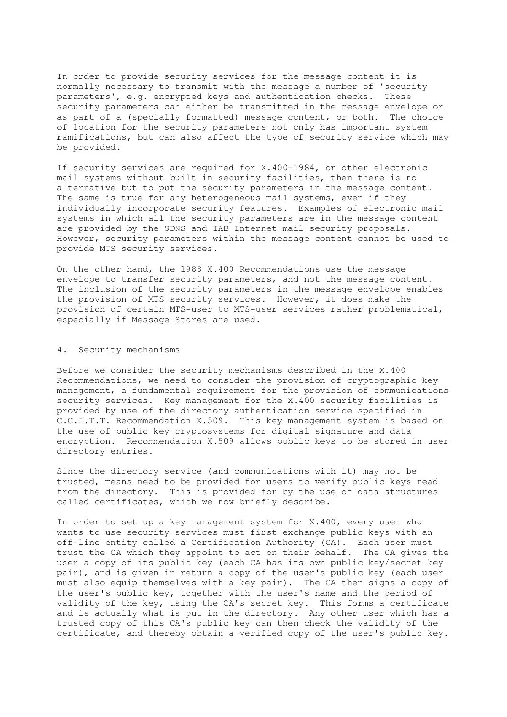In order to provide security services for the message content it is normally necessary to transmit with the message a number of 'security parameters', e.g. encrypted keys and authentication checks. These security parameters can either be transmitted in the message envelope or as part of a (specially formatted) message content, or both. The choice of location for the security parameters not only has important system ramifications, but can also affect the type of security service which may be provided.

If security services are required for X.400-1984, or other electronic mail systems without built in security facilities, then there is no alternative but to put the security parameters in the message content. The same is true for any heterogeneous mail systems, even if they individually incorporate security features. Examples of electronic mail systems in which all the security parameters are in the message content are provided by the SDNS and IAB Internet mail security proposals. However, security parameters within the message content cannot be used to provide MTS security services.

On the other hand, the 1988 X.400 Recommendations use the message envelope to transfer security parameters, and not the message content. The inclusion of the security parameters in the message envelope enables the provision of MTS security services. However, it does make the provision of certain MTS-user to MTS-user services rather problematical, especially if Message Stores are used.

## 4. Security mechanisms

Before we consider the security mechanisms described in the X.400 Recommendations, we need to consider the provision of cryptographic key management, a fundamental requirement for the provision of communications security services. Key management for the X.400 security facilities is provided by use of the directory authentication service specified in C.C.I.T.T. Recommendation X.509. This key management system is based on the use of public key cryptosystems for digital signature and data encryption. Recommendation X.509 allows public keys to be stored in user directory entries.

Since the directory service (and communications with it) may not be trusted, means need to be provided for users to verify public keys read from the directory. This is provided for by the use of data structures called certificates, which we now briefly describe.

In order to set up a key management system for X.400, every user who wants to use security services must first exchange public keys with an off-line entity called a Certification Authority (CA). Each user must trust the CA which they appoint to act on their behalf. The CA gives the user a copy of its public key (each CA has its own public key/secret key pair), and is given in return a copy of the user's public key (each user must also equip themselves with a key pair). The CA then signs a copy of the user's public key, together with the user's name and the period of validity of the key, using the CA's secret key. This forms a certificate and is actually what is put in the directory. Any other user which has a trusted copy of this CA's public key can then check the validity of the certificate, and thereby obtain a verified copy of the user's public key.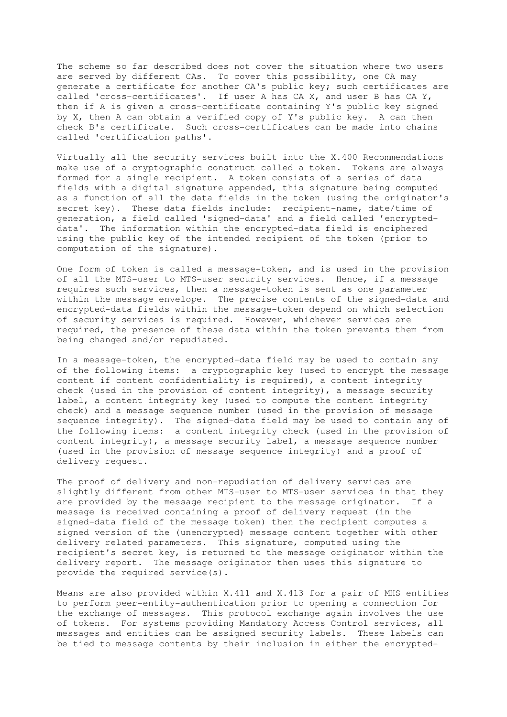The scheme so far described does not cover the situation where two users are served by different CAs. To cover this possibility, one CA may generate a certificate for another CA's public key; such certificates are called 'cross-certificates'. If user A has CA X, and user B has CA Y, then if A is given a cross-certificate containing Y's public key signed by X, then A can obtain a verified copy of Y's public key. A can then check B's certificate. Such cross-certificates can be made into chains called 'certification paths'.

Virtually all the security services built into the X.400 Recommendations make use of a cryptographic construct called a token. Tokens are always formed for a single recipient. A token consists of a series of data fields with a digital signature appended, this signature being computed as a function of all the data fields in the token (using the originator's secret key). These data fields include: recipient-name, date/time of generation, a field called 'signed-data' and a field called 'encrypteddata'. The information within the encrypted-data field is enciphered using the public key of the intended recipient of the token (prior to computation of the signature).

One form of token is called a message-token, and is used in the provision of all the MTS-user to MTS-user security services. Hence, if a message requires such services, then a message-token is sent as one parameter within the message envelope. The precise contents of the signed-data and encrypted-data fields within the message-token depend on which selection of security services is required. However, whichever services are required, the presence of these data within the token prevents them from being changed and/or repudiated.

In a message-token, the encrypted-data field may be used to contain any of the following items: a cryptographic key (used to encrypt the message content if content confidentiality is required), a content integrity check (used in the provision of content integrity), a message security label, a content integrity key (used to compute the content integrity check) and a message sequence number (used in the provision of message sequence integrity). The signed-data field may be used to contain any of the following items: a content integrity check (used in the provision of content integrity), a message security label, a message sequence number (used in the provision of message sequence integrity) and a proof of delivery request.

The proof of delivery and non-repudiation of delivery services are slightly different from other MTS-user to MTS-user services in that they are provided by the message recipient to the message originator. If a message is received containing a proof of delivery request (in the signed-data field of the message token) then the recipient computes a signed version of the (unencrypted) message content together with other delivery related parameters. This signature, computed using the recipient's secret key, is returned to the message originator within the delivery report. The message originator then uses this signature to provide the required service(s).

Means are also provided within X.411 and X.413 for a pair of MHS entities to perform peer-entity-authentication prior to opening a connection for the exchange of messages. This protocol exchange again involves the use of tokens. For systems providing Mandatory Access Control services, all messages and entities can be assigned security labels. These labels can be tied to message contents by their inclusion in either the encrypted-